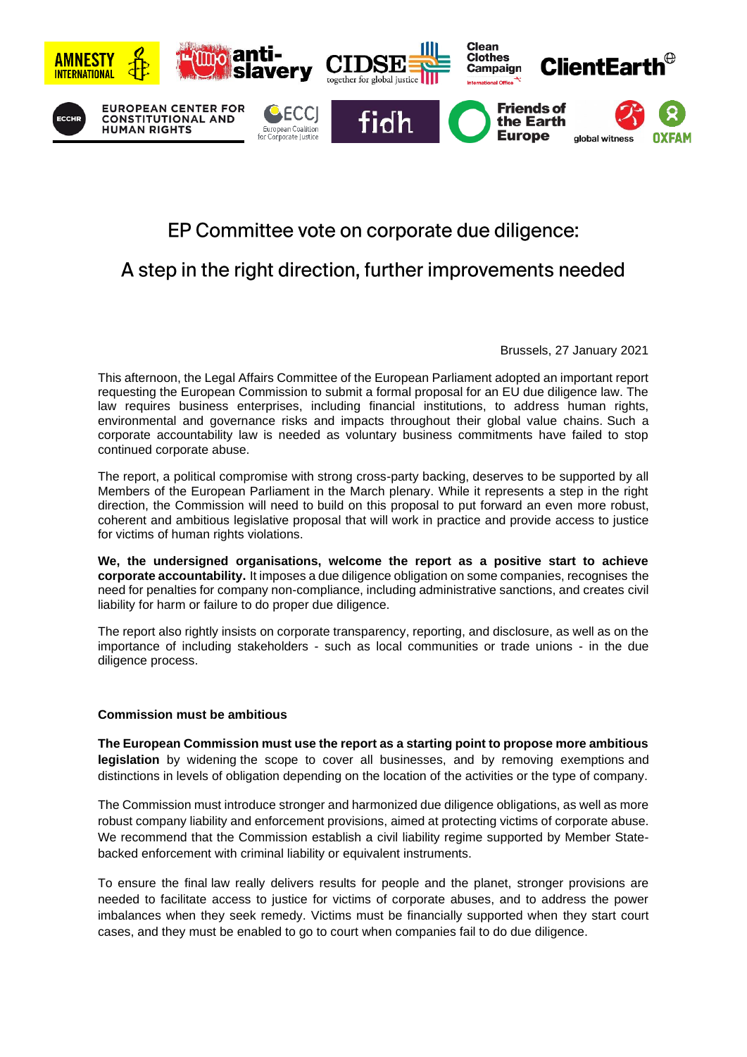

## EP Committee vote on corporate due diligence:

## A step in the right direction, further improvements needed

Brussels, 27 January 2021

This afternoon, the Legal Affairs Committee of the European Parliament adopted an important report requesting the European Commission to submit a formal proposal for an EU due diligence law. The law requires business enterprises, including financial institutions, to address human rights, environmental and governance risks and impacts throughout their global value chains. Such a corporate accountability law is needed as voluntary business commitments have failed to stop continued corporate abuse.

The report, a political compromise with strong cross-party backing, deserves to be supported by all Members of the European Parliament in the March plenary. While it represents a step in the right direction, the Commission will need to build on this proposal to put forward an even more robust, coherent and ambitious legislative proposal that will work in practice and provide access to justice for victims of human rights violations.

**We, the undersigned organisations, welcome the report as a positive start to achieve corporate accountability.** It imposes a due diligence obligation on some companies, recognises the need for penalties for company non-compliance, including administrative sanctions, and creates civil liability for harm or failure to do proper due diligence.

The report also rightly insists on corporate transparency, reporting, and disclosure, as well as on the importance of including stakeholders - such as local communities or trade unions - in the due diligence process.

## **Commission must be ambitious**

**The European Commission must use the report as a starting point to propose more ambitious legislation** by widening the scope to cover all businesses, and by removing exemptions and distinctions in levels of obligation depending on the location of the activities or the type of company.

The Commission must introduce stronger and harmonized due diligence obligations, as well as more robust company liability and enforcement provisions, aimed at protecting victims of corporate abuse. We recommend that the Commission establish a civil liability regime supported by Member Statebacked enforcement with criminal liability or equivalent instruments.

To ensure the final law really delivers results for people and the planet, stronger provisions are needed to facilitate access to justice for victims of corporate abuses, and to address the power imbalances when they seek remedy. Victims must be financially supported when they start court cases, and they must be enabled to go to court when companies fail to do due diligence.